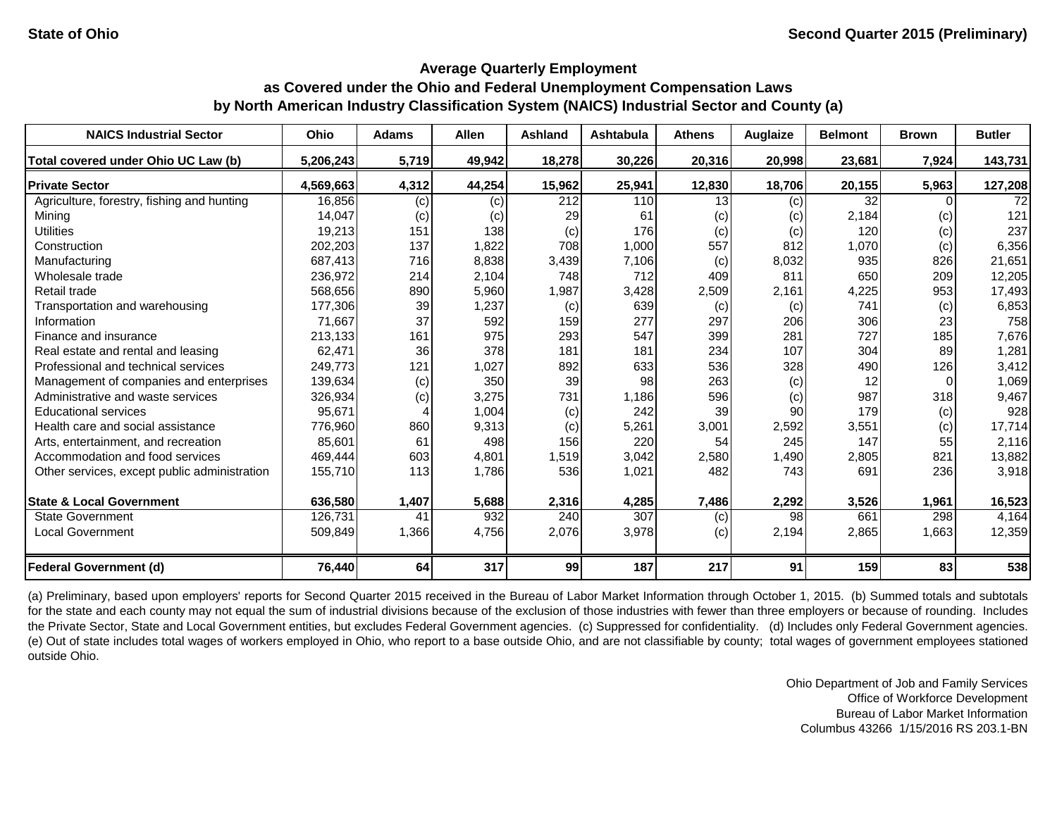| <b>NAICS Industrial Sector</b>               | <b>Ohio</b> | <b>Adams</b> | <b>Allen</b> | Ashland | <b>Ashtabula</b> | <b>Athens</b> | Auglaize | <b>Belmont</b> | <b>Brown</b> | <b>Butler</b> |
|----------------------------------------------|-------------|--------------|--------------|---------|------------------|---------------|----------|----------------|--------------|---------------|
| Total covered under Ohio UC Law (b)          | 5,206,243   | 5,719        | 49,942       | 18,278  | 30,226           | 20,316        | 20,998   | 23,681         | 7,924        | 143,731       |
| <b>Private Sector</b>                        | 4,569,663   | 4,312        | 44,254       | 15,962  | 25,941           | 12,830        | 18,706   | 20,155         | 5,963        | 127,208       |
| Agriculture, forestry, fishing and hunting   | 16,856      | (c)          | (c)          | 212     | 110              | 13            | (c)      | 32             |              | 72            |
| Mining                                       | 14,047      | (c)          | (c)          | 29      | 61               | (c)           | (c)      | 2,184          | (c)          | 121           |
| <b>Utilities</b>                             | 19,213      | 151          | 138          | (c)     | 176              | (c)           | (c)      | 120            | (c)          | 237           |
| Construction                                 | 202,203     | 137          | 1,822        | 708     | 1,000            | 557           | 812      | 1,070          | (c)          | 6,356         |
| Manufacturing                                | 687,413     | 716          | 8,838        | 3,439   | 7,106            | (c)           | 8,032    | 935            | 826          | 21,651        |
| Wholesale trade                              | 236,972     | 214          | 2,104        | 748     | 712              | 409           | 811      | 650            | 209          | 12,205        |
| Retail trade                                 | 568,656     | 890          | 5,960        | 1,987   | 3,428            | 2,509         | 2,161    | 4,225          | 953          | 17,493        |
| Transportation and warehousing               | 177,306     | 39           | 1,237        | (c)     | 639              | (c)           | (c)      | 741            | (c)          | 6,853         |
| Information                                  | 71,667      | 37           | 592          | 159     | 277              | 297           | 206      | 306            | 23           | 758           |
| Finance and insurance                        | 213,133     | 161          | 975          | 293     | 547              | 399           | 281      | 727            | 185          | 7,676         |
| Real estate and rental and leasing           | 62,471      | 36           | 378          | 181     | 181              | 234           | 107      | 304            | 89           | 1,281         |
| Professional and technical services          | 249,773     | 121          | 1,027        | 892     | 633              | 536           | 328      | 490            | 126          | 3,412         |
| Management of companies and enterprises      | 139,634     | (c)          | 350          | 39      | 98               | 263           | (c)      | 12             |              | 1,069         |
| Administrative and waste services            | 326,934     | (c)          | 3,275        | 731     | 1,186            | 596           | (c)      | 987            | 318          | 9,467         |
| <b>Educational services</b>                  | 95,671      |              | 1,004        | (c)     | 242              | 39            | 90       | 179            | (c)          | 928           |
| Health care and social assistance            | 776,960     | 860          | 9,313        | (c)     | 5,261            | 3,001         | 2,592    | 3,551          | (c)          | 17,714        |
| Arts, entertainment, and recreation          | 85,601      | 61           | 498          | 156     | 220              | 54            | 245      | 147            | 55           | 2,116         |
| Accommodation and food services              | 469,444     | 603          | 4,801        | 1,519   | 3,042            | 2,580         | 1,490    | 2,805          | 821          | 13,882        |
| Other services, except public administration | 155,710     | 113          | 1,786        | 536     | 1,021            | 482           | 743      | 691            | 236          | 3,918         |
| <b>State &amp; Local Government</b>          | 636,580     | 1,407        | 5,688        | 2,316   | 4,285            | 7,486         | 2,292    | 3,526          | 1,961        | 16,523        |
| <b>State Government</b>                      | 126,731     | 41           | 932          | 240     | 307              | (c)           | 98       | 661            | 298          | 4,164         |
| <b>Local Government</b>                      | 509,849     | 1,366        | 4,756        | 2,076   | 3,978            | (c)           | 2,194    | 2,865          | 1,663        | 12,359        |
| <b>Federal Government (d)</b>                | 76,440      | 64           | 317          | 99      | 187              | 217           | 91       | 159            | 83           | 538           |

(a) Preliminary, based upon employers' reports for Second Quarter 2015 received in the Bureau of Labor Market Information through October 1, 2015. (b) Summed totals and subtotals for the state and each county may not equal the sum of industrial divisions because of the exclusion of those industries with fewer than three employers or because of rounding. Includes the Private Sector, State and Local Government entities, but excludes Federal Government agencies. (c) Suppressed for confidentiality. (d) Includes only Federal Government agencies. (e) Out of state includes total wages of workers employed in Ohio, who report to a base outside Ohio, and are not classifiable by county; total wages of government employees stationed outside Ohio.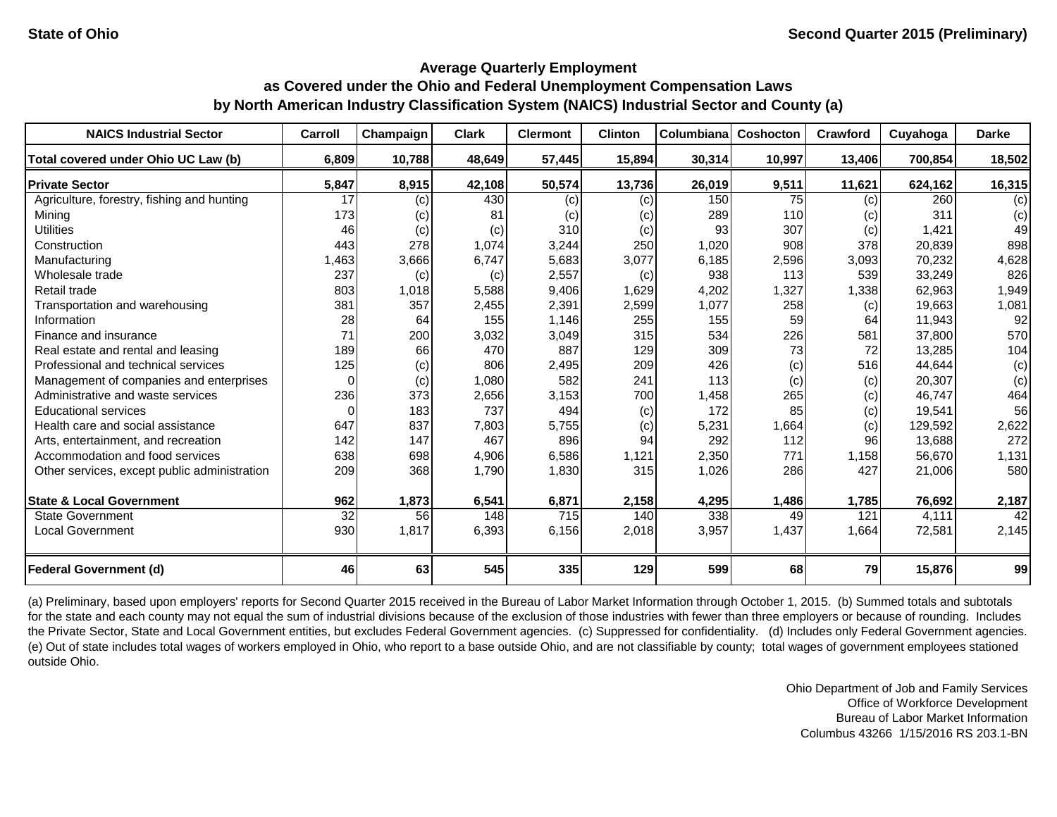| <b>NAICS Industrial Sector</b>               | Carroll         | Champaign | <b>Clark</b> | <b>Clermont</b> | <b>Clinton</b> | Columbiana | Coshocton | <b>Crawford</b> | Cuyahoga | <b>Darke</b>    |
|----------------------------------------------|-----------------|-----------|--------------|-----------------|----------------|------------|-----------|-----------------|----------|-----------------|
| Total covered under Ohio UC Law (b)          | 6,809           | 10,788    | 48,649       | 57,445          | 15,894         | 30,314     | 10,997    | 13,406          | 700,854  | 18,502          |
| <b>Private Sector</b>                        | 5,847           | 8,915     | 42,108       | 50,574          | 13,736         | 26,019     | 9,511     | 11,621          | 624,162  | 16,315          |
| Agriculture, forestry, fishing and hunting   | 17              | (c)       | 430          | (c)             | (c)            | 150        | 75        | (c)             | 260      | (c)             |
| Mining                                       | 173             | (c)       | 81           | (c)             | (c)            | 289        | 110       | (c)             | 311      | (c)             |
| <b>Utilities</b>                             | 46              | (c)       | (c)          | 310             | (c)            | 93         | 307       | (c)             | 1,421    | 49              |
| Construction                                 | 443             | 278       | 1,074        | 3,244           | 250            | 1,020      | 908       | 378             | 20,839   | 898             |
| Manufacturing                                | 1,463           | 3,666     | 6,747        | 5,683           | 3,077          | 6,185      | 2,596     | 3,093           | 70,232   | 4,628           |
| Wholesale trade                              | 237             | (c)       | (c)          | 2,557           | (c)            | 938        | 113       | 539             | 33,249   | 826             |
| Retail trade                                 | 803             | 1,018     | 5,588        | 9,406           | 1,629          | 4,202      | 1,327     | 1,338           | 62,963   | 1,949           |
| Transportation and warehousing               | 381             | 357       | 2,455        | 2,391           | 2,599          | 1,077      | 258       | (c)             | 19,663   | 1,081           |
| Information                                  | 28              | 64        | 155          | 1,146           | 255            | 155        | 59        | 64              | 11,943   | 92              |
| Finance and insurance                        | 71              | 200       | 3,032        | 3,049           | 315            | 534        | 226       | 581             | 37,800   | 570             |
| Real estate and rental and leasing           | 189             | 66        | 470          | 887             | 129            | 309        | 73        | 72              | 13,285   | 104             |
| Professional and technical services          | 125             | (c)       | 806          | 2,495           | 209            | 426        | (c)       | 516             | 44,644   | (c)             |
| Management of companies and enterprises      | $\Omega$        | (c)       | 1,080        | 582             | 241            | 113        | (c)       | (c)             | 20,307   | (c)             |
| Administrative and waste services            | 236             | 373       | 2,656        | 3,153           | 700            | 1,458      | 265       | (c)             | 46,747   | 464             |
| <b>Educational services</b>                  | $\Omega$        | 183       | 737          | 494             | (c)            | 172        | 85        | (c)             | 19,541   | 56              |
| Health care and social assistance            | 647             | 837       | 7,803        | 5,755           | (c)            | 5,231      | 1,664     | (c)             | 129.592  | 2,622           |
| Arts, entertainment, and recreation          | 142             | 147       | 467          | 896             | 94             | 292        | 112       | 96              | 13,688   | 272             |
| Accommodation and food services              | 638             | 698       | 4,906        | 6,586           | 1,121          | 2,350      | 771       | 1,158           | 56,670   | 1,131           |
| Other services, except public administration | 209             | 368       | 1,790        | 1,830           | 315            | 1,026      | 286       | 427             | 21,006   | 580             |
| <b>State &amp; Local Government</b>          | 962             | 1,873     | 6,541        | 6,871           | 2,158          | 4,295      | 1,486     | 1,785           | 76,692   | 2,187           |
| <b>State Government</b>                      | $\overline{32}$ | 56        | 148          | 715             | 140            | 338        | 49        | 121             | 4,111    | $\overline{42}$ |
| <b>Local Government</b>                      | 930             | 1,817     | 6,393        | 6,156           | 2,018          | 3,957      | 1,437     | 1,664           | 72,581   | 2,145           |
| <b>Federal Government (d)</b>                | 46              | 63        | 545          | 335             | 129            | 599        | 68        | 79              | 15,876   | 99              |

(a) Preliminary, based upon employers' reports for Second Quarter 2015 received in the Bureau of Labor Market Information through October 1, 2015. (b) Summed totals and subtotals for the state and each county may not equal the sum of industrial divisions because of the exclusion of those industries with fewer than three employers or because of rounding. Includes the Private Sector, State and Local Government entities, but excludes Federal Government agencies. (c) Suppressed for confidentiality. (d) Includes only Federal Government agencies. (e) Out of state includes total wages of workers employed in Ohio, who report to a base outside Ohio, and are not classifiable by county; total wages of government employees stationed outside Ohio.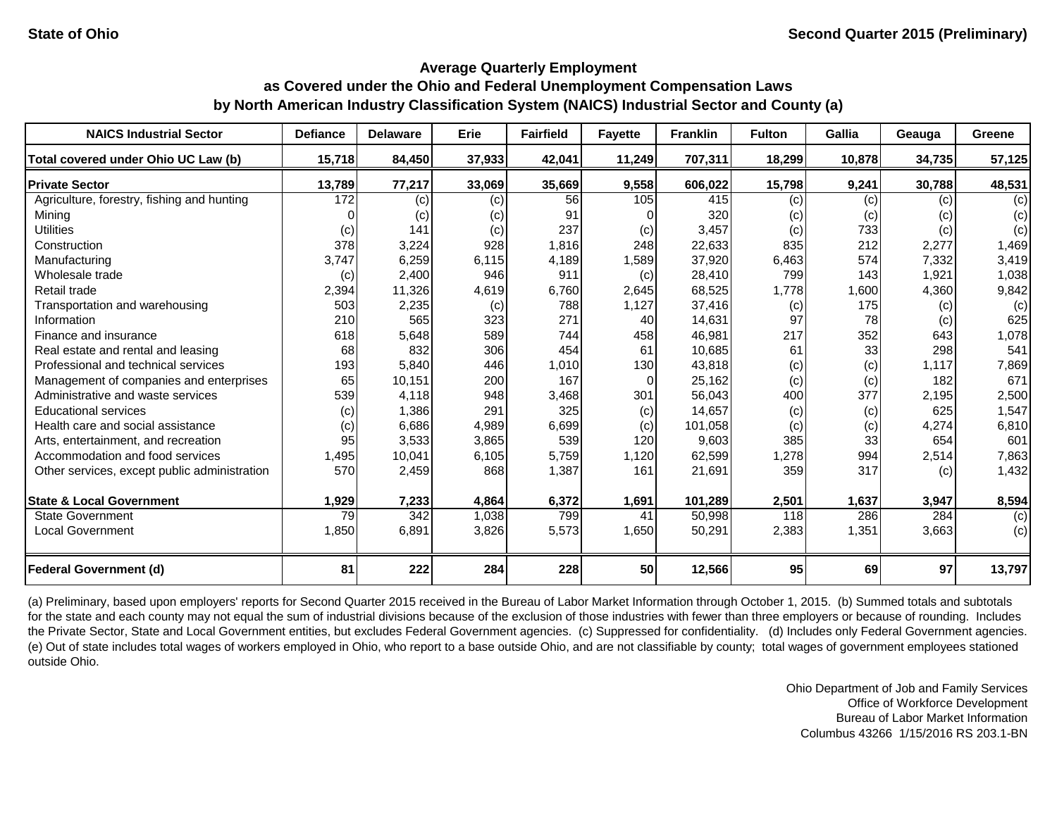| <b>NAICS Industrial Sector</b>               | <b>Defiance</b> | <b>Delaware</b> | Erie   | <b>Fairfield</b> | <b>Fayette</b> | <b>Franklin</b> | <b>Fulton</b> | Gallia | Geauga | Greene |
|----------------------------------------------|-----------------|-----------------|--------|------------------|----------------|-----------------|---------------|--------|--------|--------|
| Total covered under Ohio UC Law (b)          | 15,718          | 84,450          | 37,933 | 42,041           | 11,249         | 707,311         | 18,299        | 10,878 | 34,735 | 57,125 |
| <b>Private Sector</b>                        | 13,789          | 77,217          | 33,069 | 35,669           | 9,558          | 606,022         | 15,798        | 9,241  | 30,788 | 48,531 |
| Agriculture, forestry, fishing and hunting   | 172             | (c)             | (c)    | 56               | 105            | 415             | (c)           | (c)    | (c)    | (c)    |
| Mining                                       |                 | (c)             | (c)    | 91               |                | 320             | (c)           | (c)    | (c)    | (c)    |
| <b>Utilities</b>                             | (c)             | 141             | (c)    | 237              | (c)            | 3,457           | (c)           | 733    | (c)    | (c)    |
| Construction                                 | 378             | 3,224           | 928    | 1,816            | 248            | 22,633          | 835           | 212    | 2,277  | 1,469  |
| Manufacturing                                | 3,747           | 6,259           | 6,115  | 4,189            | 1,589          | 37,920          | 6,463         | 574    | 7,332  | 3,419  |
| Wholesale trade                              | (c)             | 2,400           | 946    | 911              | (c)            | 28,410          | 799           | 143    | 1,921  | 1,038  |
| Retail trade                                 | 2,394           | 11,326          | 4,619  | 6,760            | 2,645          | 68,525          | 1,778         | 1,600  | 4,360  | 9,842  |
| Transportation and warehousing               | 503             | 2,235           | (c)    | 788              | 1,127          | 37,416          | (c)           | 175    | (c)    | (c)    |
| Information                                  | 210             | 565             | 323    | 271              | 40             | 14,631          | 97            | 78     | (c)    | 625    |
| Finance and insurance                        | 618             | 5,648           | 589    | 744              | 458            | 46,981          | 217           | 352    | 643    | 1,078  |
| Real estate and rental and leasing           | 68              | 832             | 306    | 454              | 61             | 10,685          | 61            | 33     | 298    | 541    |
| Professional and technical services          | 193             | 5,840           | 446    | 1,010            | 130            | 43,818          | (c)           | (c)    | 1,117  | 7,869  |
| Management of companies and enterprises      | 65              | 10,151          | 200    | 167              | 0              | 25,162          | (c)           | (c)    | 182    | 671    |
| Administrative and waste services            | 539             | 4,118           | 948    | 3,468            | 301            | 56,043          | 400           | 377    | 2,195  | 2,500  |
| <b>Educational services</b>                  | (c)             | 1,386           | 291    | 325              | (c)            | 14,657          | (c)           | (c)    | 625    | 1,547  |
| Health care and social assistance            | (c)             | 6,686           | 4,989  | 6,699            | (c)            | 101,058         | (c)           | (c)    | 4,274  | 6,810  |
| Arts, entertainment, and recreation          | 95              | 3,533           | 3,865  | 539              | 120            | 9,603           | 385           | 33     | 654    | 601    |
| Accommodation and food services              | 1,495           | 10,041          | 6,105  | 5,759            | 1,120          | 62,599          | 1,278         | 994    | 2,514  | 7,863  |
| Other services, except public administration | 570             | 2,459           | 868    | 1,387            | 161            | 21,691          | 359           | 317    | (c)    | 1,432  |
|                                              |                 |                 |        |                  |                |                 |               |        |        |        |
| <b>State &amp; Local Government</b>          | 1,929           | 7,233           | 4,864  | 6,372            | 1,691          | 101,289         | 2,501         | 1,637  | 3,947  | 8,594  |
| <b>State Government</b>                      | $\overline{79}$ | 342             | 1,038  | 799              | 41             | 50,998          | 118           | 286    | 284    | (c)    |
| Local Government                             | 1,850           | 6,891           | 3,826  | 5,573            | 1,650          | 50,291          | 2,383         | 1,351  | 3,663  | (c)    |
| <b>Federal Government (d)</b>                | 81              | 222             | 284    | 228              | 50             | 12,566          | 95            | 69     | 97     | 13,797 |

(a) Preliminary, based upon employers' reports for Second Quarter 2015 received in the Bureau of Labor Market Information through October 1, 2015. (b) Summed totals and subtotals for the state and each county may not equal the sum of industrial divisions because of the exclusion of those industries with fewer than three employers or because of rounding. Includes the Private Sector, State and Local Government entities, but excludes Federal Government agencies. (c) Suppressed for confidentiality. (d) Includes only Federal Government agencies. (e) Out of state includes total wages of workers employed in Ohio, who report to a base outside Ohio, and are not classifiable by county; total wages of government employees stationed outside Ohio.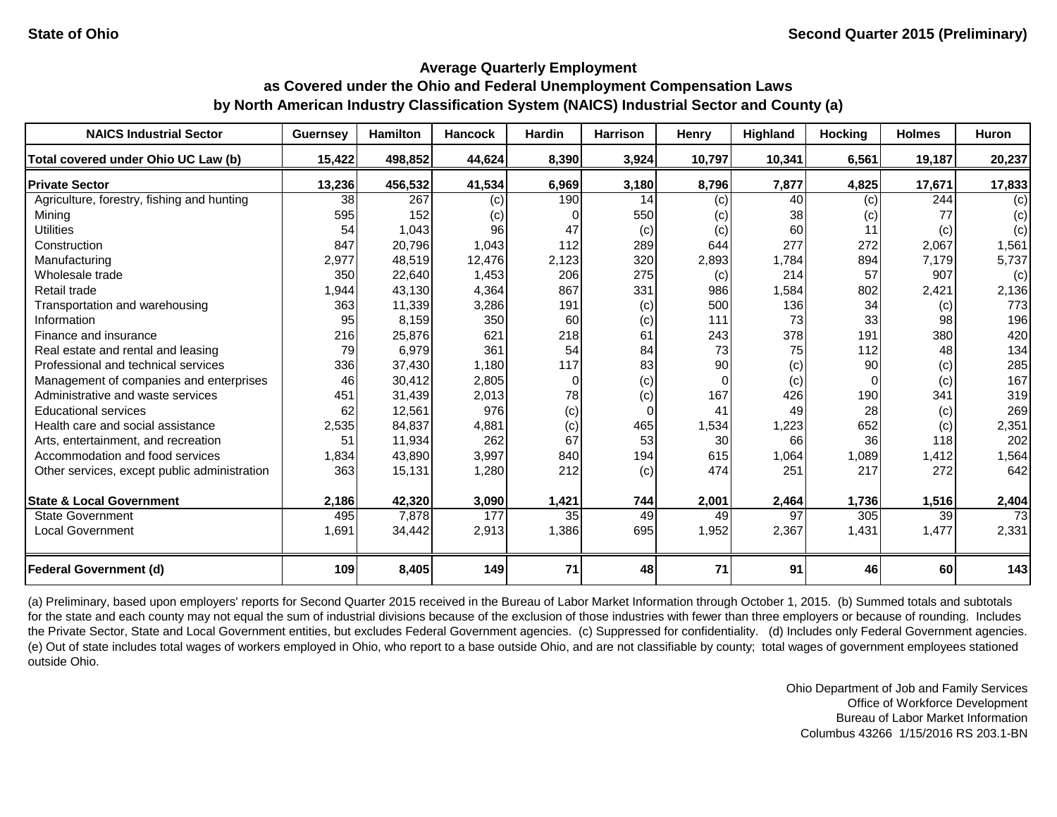| <b>NAICS Industrial Sector</b>               | <b>Guernsey</b> | <b>Hamilton</b> | <b>Hancock</b> | <b>Hardin</b> | <b>Harrison</b> | Henry    | Highland | <b>Hocking</b> | <b>Holmes</b> | Huron           |
|----------------------------------------------|-----------------|-----------------|----------------|---------------|-----------------|----------|----------|----------------|---------------|-----------------|
| Total covered under Ohio UC Law (b)          | 15,422          | 498,852         | 44,624         | 8,390         | 3,924           | 10,797   | 10,341   | 6,561          | 19,187        | 20,237          |
| <b>Private Sector</b>                        | 13,236          | 456,532         | 41,534         | 6,969         | 3,180           | 8,796    | 7,877    | 4,825          | 17,671        | 17,833          |
| Agriculture, forestry, fishing and hunting   | 38              | 267             | (c)            | 190           | 14              | (c)      | 40       | (c)            | 244           | (c)             |
| Mining                                       | 595             | 152             | (c)            | 0             | 550             | (c)      | 38       | (c)            | 77            | (c)             |
| <b>Utilities</b>                             | 54              | 1,043           | 96             | 47            | (c)             | (c)      | 60       | 11             | (c)           | (c)             |
| Construction                                 | 847             | 20,796          | 1,043          | 112           | 289             | 644      | 277      | 272            | 2,067         | 1,561           |
| Manufacturing                                | 2,977           | 48,519          | 12,476         | 2,123         | 320             | 2,893    | 1,784    | 894            | 7,179         | 5,737           |
| Wholesale trade                              | 350             | 22,640          | 1,453          | 206           | 275             | (c)      | 214      | 57             | 907           | (c)             |
| Retail trade                                 | 1,944           | 43,130          | 4,364          | 867           | 331             | 986      | 1,584    | 802            | 2,421         | 2,136           |
| Transportation and warehousing               | 363             | 11,339          | 3,286          | 191           | (c)             | 500      | 136      | 34             | (c)           | 773             |
| Information                                  | 95              | 8,159           | 350            | 60            | (c)             | 111      | 73       | 33             | 98            | 196             |
| Finance and insurance                        | 216             | 25,876          | 621            | 218           | 61              | 243      | 378      | 191            | 380           | 420             |
| Real estate and rental and leasing           | 79              | 6,979           | 361            | 54            | 84              | 73       | 75       | 112            | 48            | 134             |
| Professional and technical services          | 336             | 37,430          | 1,180          | 117           | 83              | 90       | (c)      | 90             | (c)           | 285             |
| Management of companies and enterprises      | 46              | 30,412          | 2,805          | $\Omega$      | (c)             | $\Omega$ | (c)      |                | (c)           | 167             |
| Administrative and waste services            | 451             | 31,439          | 2,013          | 78            | (c)             | 167      | 426      | 190            | 341           | 319             |
| <b>Educational services</b>                  | 62              | 12,561          | 976            | (c)           | $\Omega$        | 41       | 49       | 28             | (c)           | 269             |
| Health care and social assistance            | 2,535           | 84,837          | 4,881          | (c)           | 465             | 1,534    | 1,223    | 652            | (c)           | 2,351           |
| Arts, entertainment, and recreation          | 51              | 11,934          | 262            | 67            | 53              | 30       | 66       | 36             | 118           | 202             |
| Accommodation and food services              | 1,834           | 43,890          | 3,997          | 840           | 194             | 615      | 1,064    | 1,089          | 1,412         | 1,564           |
| Other services, except public administration | 363             | 15,131          | 1,280          | 212           | (c)             | 474      | 251      | 217            | 272           | 642             |
| <b>State &amp; Local Government</b>          | 2,186           | 42,320          | 3,090          | 1,421         | 744             | 2,001    | 2,464    | 1,736          | 1,516         | 2,404           |
| State Government                             | 495             | 7,878           | 177            | 35            | 49              | 49       | 97       | 305            | 39            | $\overline{73}$ |
| <b>Local Government</b>                      | 1,691           | 34,442          | 2,913          | 1,386         | 695             | 1,952    | 2,367    | 1,431          | 1,477         | 2,331           |
| <b>Federal Government (d)</b>                | 109             | 8,405           | 149            | 71            | 48              | 71       | 91       | 46             | 60            | 143             |

(a) Preliminary, based upon employers' reports for Second Quarter 2015 received in the Bureau of Labor Market Information through October 1, 2015. (b) Summed totals and subtotals for the state and each county may not equal the sum of industrial divisions because of the exclusion of those industries with fewer than three employers or because of rounding. Includes the Private Sector, State and Local Government entities, but excludes Federal Government agencies. (c) Suppressed for confidentiality. (d) Includes only Federal Government agencies. (e) Out of state includes total wages of workers employed in Ohio, who report to a base outside Ohio, and are not classifiable by county; total wages of government employees stationed outside Ohio.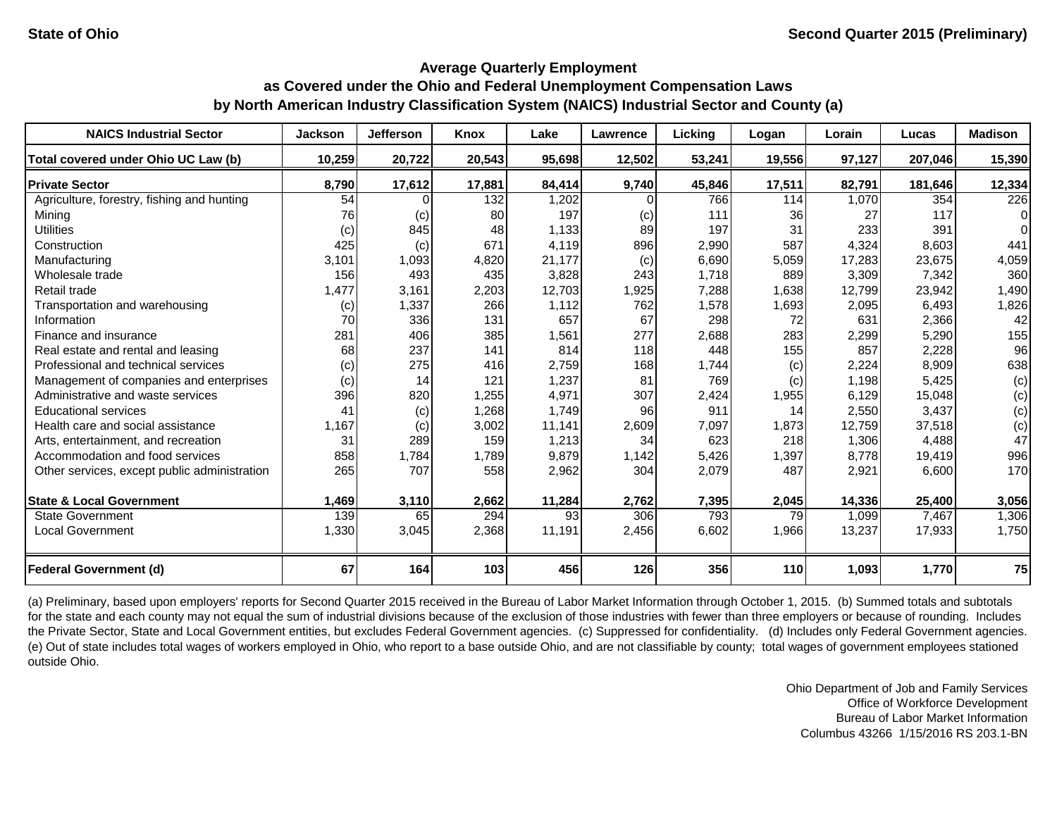| <b>NAICS Industrial Sector</b>               | <b>Jackson</b> | <b>Jefferson</b> | <b>Knox</b> | Lake   | Lawrence | Licking | Logan  | Lorain | Lucas   | <b>Madison</b> |
|----------------------------------------------|----------------|------------------|-------------|--------|----------|---------|--------|--------|---------|----------------|
| Total covered under Ohio UC Law (b)          | 10,259         | 20,722           | 20,543      | 95,698 | 12,502   | 53,241  | 19,556 | 97,127 | 207,046 | 15,390         |
| <b>Private Sector</b>                        | 8,790          | 17,612           | 17,881      | 84,414 | 9,740    | 45,846  | 17,511 | 82,791 | 181,646 | 12,334         |
| Agriculture, forestry, fishing and hunting   | 54             |                  | 132         | 1,202  |          | 766     | 114    | 1,070  | 354     | 226            |
| Mining                                       | 76             | (c)              | 80          | 197    | (c)      | 111     | 36     | 27     | 117     | 0              |
| <b>Utilities</b>                             | (c)            | 845              | 48          | 1,133  | 89       | 197     | 31     | 233    | 391     |                |
| Construction                                 | 425            | (c)              | 671         | 4.119  | 896      | 2,990   | 587    | 4,324  | 8,603   | 441            |
| Manufacturing                                | 3,101          | 1,093            | 4,820       | 21,177 | (c)      | 6,690   | 5,059  | 17,283 | 23,675  | 4,059          |
| Wholesale trade                              | 156            | 493              | 435         | 3,828  | 243      | 1,718   | 889    | 3,309  | 7,342   | 360            |
| Retail trade                                 | 1,477          | 3,161            | 2,203       | 12,703 | 1,925    | 7,288   | 1,638  | 12,799 | 23,942  | 1,490          |
| Transportation and warehousing               | (c)            | 1,337            | 266         | 1,112  | 762      | 1,578   | 1,693  | 2,095  | 6,493   | 1,826          |
| Information                                  | 70             | 336              | 131         | 657    | 67       | 298     | 72     | 631    | 2,366   | 42             |
| Finance and insurance                        | 281            | 406              | 385         | 1,561  | 277      | 2,688   | 283    | 2,299  | 5,290   | 155            |
| Real estate and rental and leasing           | 68             | 237              | 141         | 814    | 118      | 448     | 155    | 857    | 2,228   | 96             |
| Professional and technical services          | (c)            | 275              | 416         | 2,759  | 168      | 1,744   | (c)    | 2,224  | 8,909   | 638            |
| Management of companies and enterprises      | (c)            | 14               | 121         | 1,237  | 81       | 769     | (c)    | 1,198  | 5,425   | (c)            |
| Administrative and waste services            | 396            | 820              | 1,255       | 4,971  | 307      | 2,424   | 1,955  | 6,129  | 15,048  | (c)            |
| <b>Educational services</b>                  | 41             | (c)              | 1,268       | 1,749  | 96       | 911     | 14     | 2,550  | 3,437   | (c)            |
| Health care and social assistance            | 1,167          | (c)              | 3,002       | 11,141 | 2,609    | 7,097   | 1,873  | 12,759 | 37,518  | (c)            |
| Arts, entertainment, and recreation          | 31             | 289              | 159         | 1,213  | 34       | 623     | 218    | 1,306  | 4,488   | 47             |
| Accommodation and food services              | 858            | 1,784            | 1,789       | 9,879  | 1,142    | 5,426   | 1,397  | 8,778  | 19,419  | 996            |
| Other services, except public administration | 265            | 707              | 558         | 2,962  | 304      | 2,079   | 487    | 2,921  | 6,600   | 170            |
| <b>State &amp; Local Government</b>          | 1,469          | 3,110            | 2,662       | 11,284 | 2,762    | 7,395   | 2,045  | 14,336 | 25,400  | 3,056          |
| <b>State Government</b>                      | 139            | 65               | 294         | 93     | 306      | 793     | 79     | 1,099  | 7,467   | 1,306          |
| <b>Local Government</b>                      | 1,330          | 3,045            | 2,368       | 11,191 | 2,456    | 6,602   | 1,966  | 13,237 | 17,933  | 1,750          |
| <b>Federal Government (d)</b>                | 67             | 164              | 103         | 456    | 126      | 356     | 110    | 1,093  | 1,770   | 75             |

(a) Preliminary, based upon employers' reports for Second Quarter 2015 received in the Bureau of Labor Market Information through October 1, 2015. (b) Summed totals and subtotals for the state and each county may not equal the sum of industrial divisions because of the exclusion of those industries with fewer than three employers or because of rounding. Includes the Private Sector, State and Local Government entities, but excludes Federal Government agencies. (c) Suppressed for confidentiality. (d) Includes only Federal Government agencies. (e) Out of state includes total wages of workers employed in Ohio, who report to a base outside Ohio, and are not classifiable by county; total wages of government employees stationed outside Ohio.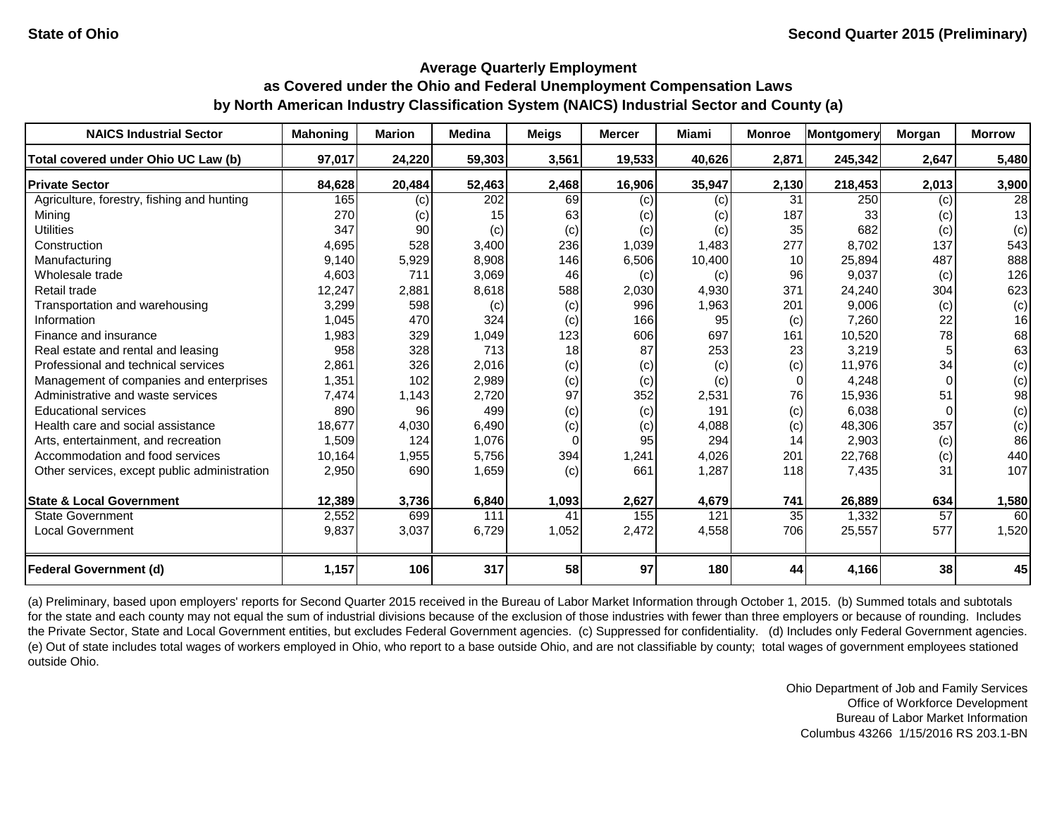| <b>NAICS Industrial Sector</b>               | <b>Mahoning</b> | <b>Marion</b> | <b>Medina</b> | <b>Meigs</b> | <b>Mercer</b> | Miami  | <b>Monroe</b> | <b>Montgomery</b> | Morgan   | <b>Morrow</b>   |
|----------------------------------------------|-----------------|---------------|---------------|--------------|---------------|--------|---------------|-------------------|----------|-----------------|
| Total covered under Ohio UC Law (b)          | 97,017          | 24,220        | 59,303        | 3,561        | 19,533        | 40,626 | 2,871         | 245,342           | 2,647    | 5,480           |
| <b>Private Sector</b>                        | 84,628          | 20,484        | 52,463        | 2,468        | 16,906        | 35,947 | 2,130         | 218,453           | 2,013    | 3,900           |
| Agriculture, forestry, fishing and hunting   | 165             | (c)           | 202           | 69           | (c)           | (c)    | 31            | 250               | (c)      | $\overline{28}$ |
| Mining                                       | 270             | (c)           | 15            | 63           | (c)           | (c)    | 187           | 33                | (c)      | 13              |
| <b>Utilities</b>                             | 347             | 90            | (c)           | (c)          | (c)           | (c)    | 35            | 682               | (c)      | (c)             |
| Construction                                 | 4,695           | 528           | 3,400         | 236          | 1,039         | 1,483  | 277           | 8,702             | 137      | 543             |
| Manufacturing                                | 9,140           | 5,929         | 8,908         | 146          | 6,506         | 10,400 | 10            | 25,894            | 487      | 888             |
| Wholesale trade                              | 4,603           | 711           | 3,069         | 46           | (c)           | (c)    | 96            | 9,037             | (c)      | 126             |
| Retail trade                                 | 12,247          | 2,881         | 8,618         | 588          | 2,030         | 4,930  | 371           | 24,240            | 304      | 623             |
| Transportation and warehousing               | 3,299           | 598           | (c)           | (c)          | 996           | 1,963  | 201           | 9,006             | (c)      | (c)             |
| Information                                  | 1,045           | 470           | 324           | (c)          | 166           | 95     | (c)           | 7,260             | 22       | 16              |
| Finance and insurance                        | 1,983           | 329           | 1,049         | 123          | 606           | 697    | 161           | 10,520            | 78       | 68              |
| Real estate and rental and leasing           | 958             | 328           | 713           | 18           | 87            | 253    | 23            | 3,219             |          | 63              |
| Professional and technical services          | 2,861           | 326           | 2,016         | (c)          | (c)           | (c)    | (c)           | 11,976            | 34       | (c)             |
| Management of companies and enterprises      | 1,351           | 102           | 2,989         | (c)          | (c)           | (c)    | $\Omega$      | 4,248             | $\Omega$ | (c)             |
| Administrative and waste services            | 7,474           | 1,143         | 2,720         | 97           | 352           | 2,531  | 76            | 15,936            | 51       | 98              |
| <b>Educational services</b>                  | 890             | 96            | 499           | (c)          | (c)           | 191    | (c)           | 6,038             |          | (c)             |
| Health care and social assistance            | 18,677          | 4,030         | 6,490         | (c)          | (c)           | 4,088  | (c)           | 48,306            | 357      | (c)             |
| Arts, entertainment, and recreation          | 1,509           | 124           | 1,076         | $\Omega$     | 95            | 294    | 14            | 2,903             | (c)      | 86              |
| Accommodation and food services              | 10,164          | 1,955         | 5,756         | 394          | 1,241         | 4,026  | 201           | 22,768            | (c)      | 440             |
| Other services, except public administration | 2,950           | 690           | 1,659         | (c)          | 661           | 1,287  | 118           | 7,435             | 31       | 107             |
|                                              |                 |               |               |              |               |        |               |                   |          |                 |
| <b>State &amp; Local Government</b>          | 12,389          | 3,736         | 6,840         | 1,093        | 2,627         | 4,679  | 741           | 26,889            | 634      | 1,580           |
| <b>State Government</b>                      | 2,552           | 699           | 111           | 41           | 155           | 121    | 35            | 1,332             | 57       | 60              |
| <b>Local Government</b>                      | 9,837           | 3,037         | 6,729         | 1,052        | 2,472         | 4,558  | 706           | 25,557            | 577      | 1,520           |
| <b>Federal Government (d)</b>                | 1,157           | 106           | 317           | 58           | 97            | 180    | 44            | 4,166             | 38       | 45              |

(a) Preliminary, based upon employers' reports for Second Quarter 2015 received in the Bureau of Labor Market Information through October 1, 2015. (b) Summed totals and subtotals for the state and each county may not equal the sum of industrial divisions because of the exclusion of those industries with fewer than three employers or because of rounding. Includes the Private Sector, State and Local Government entities, but excludes Federal Government agencies. (c) Suppressed for confidentiality. (d) Includes only Federal Government agencies. (e) Out of state includes total wages of workers employed in Ohio, who report to a base outside Ohio, and are not classifiable by county; total wages of government employees stationed outside Ohio.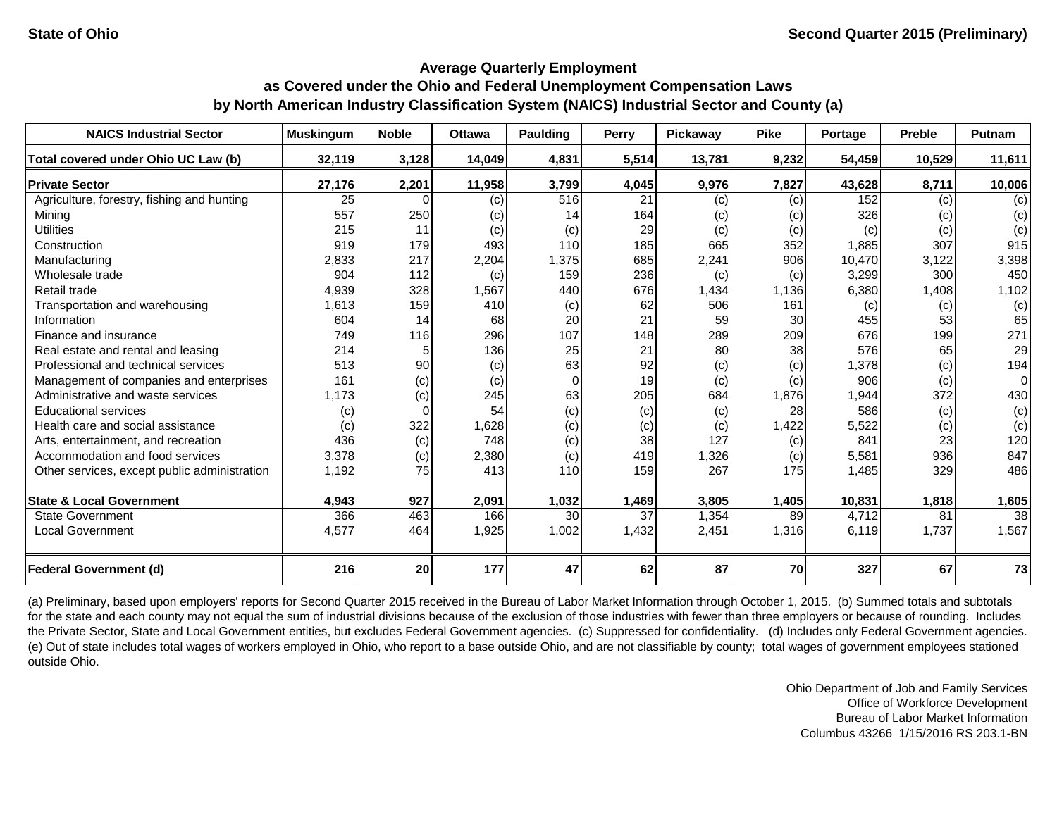| <b>NAICS Industrial Sector</b>               | <b>Muskingum</b> | <b>Noble</b> | Ottawa | Paulding | Perry           | Pickaway | <b>Pike</b> | Portage | <b>Preble</b> | Putnam |
|----------------------------------------------|------------------|--------------|--------|----------|-----------------|----------|-------------|---------|---------------|--------|
| Total covered under Ohio UC Law (b)          | 32,119           | 3,128        | 14,049 | 4,831    | 5,514           | 13,781   | 9,232       | 54,459  | 10,529        | 11,611 |
| <b>Private Sector</b>                        | 27,176           | 2,201        | 11,958 | 3,799    | 4,045           | 9,976    | 7,827       | 43,628  | 8,711         | 10,006 |
| Agriculture, forestry, fishing and hunting   | 25               | $\cap$       | (c)    | 516      | 21              | (c)      | (c)         | 152     | (c)           | (c)    |
| Mining                                       | 557              | 250          | (c)    | 14       | 164             | (c)      | (c)         | 326     | (c)           | (c)    |
| <b>Utilities</b>                             | 215              | 11           | (c)    | (c)      | 29              | (c)      | (c)         | (c)     | (c)           | (c)    |
| Construction                                 | 919              | 179          | 493    | 110      | 185             | 665      | 352         | 1,885   | 307           | 915    |
| Manufacturing                                | 2,833            | 217          | 2,204  | 1,375    | 685             | 2,241    | 906         | 10,470  | 3,122         | 3,398  |
| Wholesale trade                              | 904              | 112          | (c)    | 159      | 236             | (c)      | (c)         | 3,299   | 300           | 450    |
| Retail trade                                 | 4,939            | 328          | 1,567  | 440      | 676             | 1,434    | 1,136       | 6,380   | 1,408         | 1,102  |
| Transportation and warehousing               | 1,613            | 159          | 410    | (c)      | 62              | 506      | 161         | (c)     | (c)           | (c)    |
| Information                                  | 604              | 14           | 68     | 20       | 21              | 59       | 30          | 455     | 53            | 65     |
| Finance and insurance                        | 749              | 116          | 296    | 107      | 148             | 289      | 209         | 676     | 199           | 271    |
| Real estate and rental and leasing           | 214              |              | 136    | 25       | 21              | 80       | 38          | 576     | 65            | 29     |
| Professional and technical services          | 513              | 90           | (c)    | 63       | 92              | (c)      | (c)         | 1,378   | (c)           | 194    |
| Management of companies and enterprises      | 161              | (c)          | (c)    | $\Omega$ | 19              | (c)      | (c)         | 906     | (c)           | 0      |
| Administrative and waste services            | 1,173            | (c)          | 245    | 63       | 205             | 684      | 1,876       | 1,944   | 372           | 430    |
| <b>Educational services</b>                  | (c)              | $\Omega$     | 54     | (c)      | (c)             | (c)      | 28          | 586     | (c)           | (c)    |
| Health care and social assistance            | (c)              | 322          | 1,628  | (c)      | (c)             | (c)      | 1,422       | 5,522   | (c)           | (c)    |
| Arts, entertainment, and recreation          | 436              | (c)          | 748    | (c)      | 38              | 127      | (c)         | 841     | 23            | 120    |
| Accommodation and food services              | 3,378            | (c)          | 2,380  | (c)      | 419             | 1,326    | (c)         | 5,581   | 936           | 847    |
| Other services, except public administration | 1,192            | 75           | 413    | 110      | 159             | 267      | 175         | 1,485   | 329           | 486    |
| <b>State &amp; Local Government</b>          | 4,943            | 927          | 2,091  | 1,032    | 1,469           | 3,805    | 1,405       | 10,831  | 1,818         | 1,605  |
| <b>State Government</b>                      | 366              | 463          | 166    | 30       | $\overline{37}$ | 1,354    | 89          | 4,712   | 81            | 38     |
| <b>Local Government</b>                      | 4,577            | 464          | 1,925  | 1,002    | 1,432           | 2,451    | 1,316       | 6,119   | 1,737         | 1,567  |
|                                              |                  |              |        |          |                 |          |             |         |               |        |
| <b>Federal Government (d)</b>                | 216              | 20           | 177    | 47       | 62              | 87       | 70          | 327     | 67            | 73     |

(a) Preliminary, based upon employers' reports for Second Quarter 2015 received in the Bureau of Labor Market Information through October 1, 2015. (b) Summed totals and subtotals for the state and each county may not equal the sum of industrial divisions because of the exclusion of those industries with fewer than three employers or because of rounding. Includes the Private Sector, State and Local Government entities, but excludes Federal Government agencies. (c) Suppressed for confidentiality. (d) Includes only Federal Government agencies. (e) Out of state includes total wages of workers employed in Ohio, who report to a base outside Ohio, and are not classifiable by county; total wages of government employees stationed outside Ohio.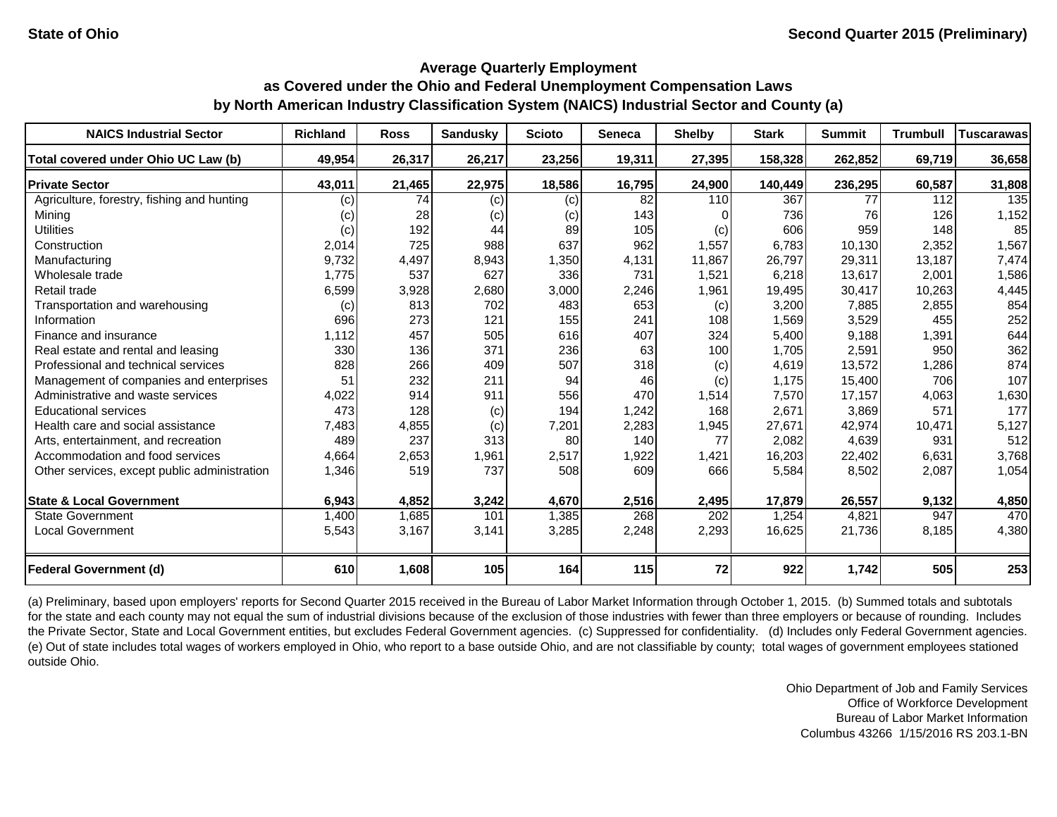| <b>NAICS Industrial Sector</b>               | <b>Richland</b> | <b>Ross</b> | <b>Sandusky</b> | <b>Scioto</b> | <b>Seneca</b>   | <b>Shelby</b>    | <b>Stark</b> | <b>Summit</b> | <b>Trumbull</b> | <b>Tuscarawas</b> |
|----------------------------------------------|-----------------|-------------|-----------------|---------------|-----------------|------------------|--------------|---------------|-----------------|-------------------|
| Total covered under Ohio UC Law (b)          | 49,954          | 26,317      | 26,217          | 23,256        | 19,311          | 27,395           | 158,328      | 262,852       | 69,719          | 36,658            |
| <b>Private Sector</b>                        | 43,011          | 21,465      | 22,975          | 18,586        | 16,795          | 24,900           | 140,449      | 236,295       | 60,587          | 31,808            |
| Agriculture, forestry, fishing and hunting   | (c)             | 74          | (c)             | (c)           | $\overline{82}$ | 110              | 367          | 77            | 112             | 135               |
| Mining                                       | (c)             | 28          | (c)             | (c)           | 143             |                  | 736          | 76            | 126             | 1,152             |
| <b>Utilities</b>                             | (c)             | 192         | 44              | 89            | 105             | (c)              | 606          | 959           | 148             | 85                |
| Construction                                 | 2,014           | 725         | 988             | 637           | 962             | 1,557            | 6,783        | 10.130        | 2,352           | 1,567             |
| Manufacturing                                | 9,732           | 4,497       | 8,943           | 1,350         | 4,131           | 11,867           | 26,797       | 29,311        | 13,187          | 7,474             |
| Wholesale trade                              | 1,775           | 537         | 627             | 336           | 731             | 1,521            | 6,218        | 13,617        | 2,001           | 1,586             |
| Retail trade                                 | 6,599           | 3,928       | 2,680           | 3,000         | 2,246           | 1,961            | 19,495       | 30,417        | 10,263          | 4,445             |
| Transportation and warehousing               | (c)             | 813         | 702             | 483           | 653             | (c)              | 3,200        | 7,885         | 2,855           | 854               |
| Information                                  | 696             | 273         | 121             | 155           | 241             | 108              | 1,569        | 3,529         | 455             | 252               |
| Finance and insurance                        | 1,112           | 457         | 505             | 616           | 407             | 324              | 5,400        | 9,188         | 1,391           | 644               |
| Real estate and rental and leasing           | 330             | 136         | 371             | 236           | 63              | 100              | 1,705        | 2,591         | 950             | 362               |
| Professional and technical services          | 828             | 266         | 409             | 507           | 318             | (c)              | 4,619        | 13,572        | 1,286           | 874               |
| Management of companies and enterprises      | 51              | 232         | 211             | 94            | 46              | (c)              | 1,175        | 15,400        | 706             | 107               |
| Administrative and waste services            | 4,022           | 914         | 911             | 556           | 470             | 1,514            | 7,570        | 17,157        | 4,063           | 1,630             |
| <b>Educational services</b>                  | 473             | 128         | (c)             | 194           | 1,242           | 168              | 2,671        | 3,869         | 571             | 177               |
| Health care and social assistance            | 7,483           | 4,855       | (c)             | 7,201         | 2,283           | 1,945            | 27,671       | 42,974        | 10,471          | 5,127             |
| Arts, entertainment, and recreation          | 489             | 237         | 313             | 80            | 140             | 77               | 2,082        | 4,639         | 931             | 512               |
| Accommodation and food services              | 4,664           | 2,653       | 1,961           | 2,517         | 1,922           | 1,421            | 16,203       | 22,402        | 6,631           | 3,768             |
| Other services, except public administration | 1,346           | 519         | 737             | 508           | 609             | 666              | 5,584        | 8,502         | 2,087           | 1,054             |
| <b>State &amp; Local Government</b>          | 6,943           | 4,852       | 3,242           | 4,670         | 2,516           | 2,495            | 17,879       | 26,557        | 9,132           | 4,850             |
| <b>State Government</b>                      | 1,400           | 1,685       | 101             | 1,385         | 268             | $\overline{202}$ | 1,254        | 4,821         | 947             | 470               |
| <b>Local Government</b>                      | 5,543           | 3,167       | 3,141           | 3,285         | 2,248           | 2,293            | 16,625       | 21,736        | 8,185           | 4,380             |
| <b>Federal Government (d)</b>                | 610             | 1,608       | 105             | 164           | 115             | 72               | 922          | 1,742         | 505             | 253               |

(a) Preliminary, based upon employers' reports for Second Quarter 2015 received in the Bureau of Labor Market Information through October 1, 2015. (b) Summed totals and subtotals for the state and each county may not equal the sum of industrial divisions because of the exclusion of those industries with fewer than three employers or because of rounding. Includes the Private Sector, State and Local Government entities, but excludes Federal Government agencies. (c) Suppressed for confidentiality. (d) Includes only Federal Government agencies. (e) Out of state includes total wages of workers employed in Ohio, who report to a base outside Ohio, and are not classifiable by county; total wages of government employees stationed outside Ohio.